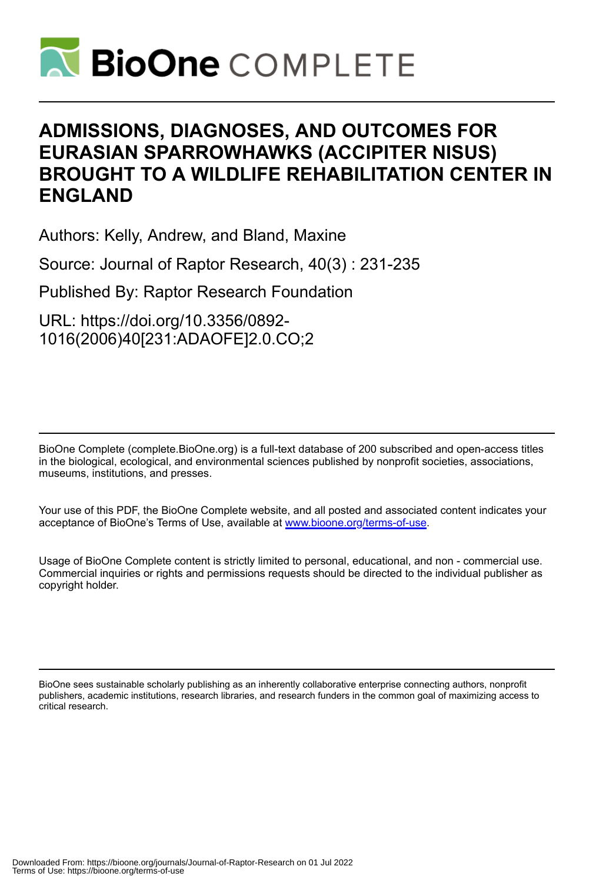

# **ADMISSIONS, DIAGNOSES, AND OUTCOMES FOR EURASIAN SPARROWHAWKS (ACCIPITER NISUS) BROUGHT TO A WILDLIFE REHABILITATION CENTER IN ENGLAND**

Authors: Kelly, Andrew, and Bland, Maxine

Source: Journal of Raptor Research, 40(3) : 231-235

Published By: Raptor Research Foundation

URL: https://doi.org/10.3356/0892- 1016(2006)40[231:ADAOFE]2.0.CO;2

BioOne Complete (complete.BioOne.org) is a full-text database of 200 subscribed and open-access titles in the biological, ecological, and environmental sciences published by nonprofit societies, associations, museums, institutions, and presses.

Your use of this PDF, the BioOne Complete website, and all posted and associated content indicates your acceptance of BioOne's Terms of Use, available at www.bioone.org/terms-of-use.

Usage of BioOne Complete content is strictly limited to personal, educational, and non - commercial use. Commercial inquiries or rights and permissions requests should be directed to the individual publisher as copyright holder.

BioOne sees sustainable scholarly publishing as an inherently collaborative enterprise connecting authors, nonprofit publishers, academic institutions, research libraries, and research funders in the common goal of maximizing access to critical research.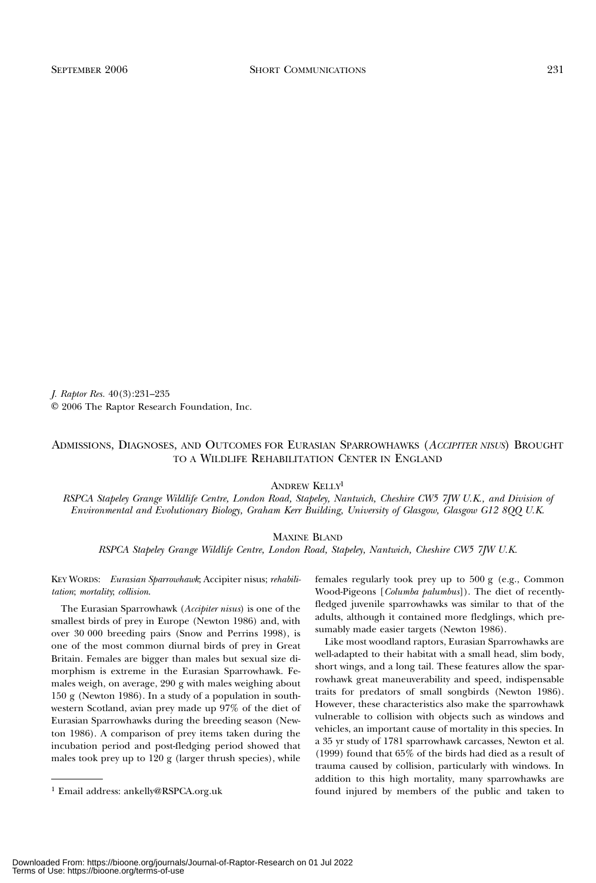J. Raptor Res. 40(3):231–235 E 2006 The Raptor Research Foundation, Inc.

# ADMISSIONS, DIAGNOSES, AND OUTCOMES FOR EURASIAN SPARROWHAWKS (ACCIPITER NISUS) BROUGHT TO A WILDLIFE REHABILITATION CENTER IN ENGLAND

ANDREW KELLY1

RSPCA Stapeley Grange Wildlife Centre, London Road, Stapeley, Nantwich, Cheshire CW5 7JW U.K., and Division of Environmental and Evolutionary Biology, Graham Kerr Building, University of Glasgow, Glasgow G12 8QQ U.K.

MAXINE BLAND

RSPCA Stapeley Grange Wildlife Centre, London Road, Stapeley, Nantwich, Cheshire CW5 7JW U.K.

KEY WORDS: Eurasian Sparrowhawk; Accipiter nisus; rehabilitation; mortality; collision.

The Eurasian Sparrowhawk (Accipiter nisus) is one of the smallest birds of prey in Europe (Newton 1986) and, with over 30 000 breeding pairs (Snow and Perrins 1998), is one of the most common diurnal birds of prey in Great Britain. Females are bigger than males but sexual size dimorphism is extreme in the Eurasian Sparrowhawk. Females weigh, on average, 290 g with males weighing about 150 g (Newton 1986). In a study of a population in southwestern Scotland, avian prey made up 97% of the diet of Eurasian Sparrowhawks during the breeding season (Newton 1986). A comparison of prey items taken during the incubation period and post-fledging period showed that males took prey up to 120 g (larger thrush species), while females regularly took prey up to 500 g (e.g., Common Wood-Pigeons [Columba palumbus]). The diet of recentlyfledged juvenile sparrowhawks was similar to that of the adults, although it contained more fledglings, which presumably made easier targets (Newton 1986).

Like most woodland raptors, Eurasian Sparrowhawks are well-adapted to their habitat with a small head, slim body, short wings, and a long tail. These features allow the sparrowhawk great maneuverability and speed, indispensable traits for predators of small songbirds (Newton 1986). However, these characteristics also make the sparrowhawk vulnerable to collision with objects such as windows and vehicles, an important cause of mortality in this species. In a 35 yr study of 1781 sparrowhawk carcasses, Newton et al. (1999) found that 65% of the birds had died as a result of trauma caused by collision, particularly with windows. In addition to this high mortality, many sparrowhawks are <sup>1</sup> Email address: ankelly@RSPCA.org.uk found injured by members of the public and taken to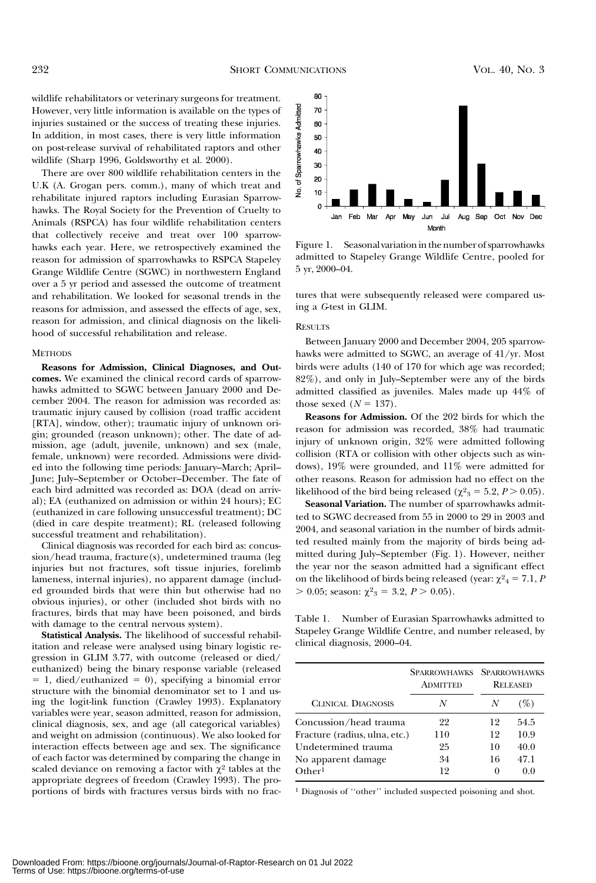wildlife rehabilitators or veterinary surgeons for treatment. However, very little information is available on the types of injuries sustained or the success of treating these injuries. In addition, in most cases, there is very little information on post-release survival of rehabilitated raptors and other wildlife (Sharp 1996, Goldsworthy et al. 2000).

There are over 800 wildlife rehabilitation centers in the U.K (A. Grogan pers. comm.), many of which treat and rehabilitate injured raptors including Eurasian Sparrowhawks. The Royal Society for the Prevention of Cruelty to Animals (RSPCA) has four wildlife rehabilitation centers that collectively receive and treat over 100 sparrowhawks each year. Here, we retrospectively examined the reason for admission of sparrowhawks to RSPCA Stapeley Grange Wildlife Centre (SGWC) in northwestern England over a 5 yr period and assessed the outcome of treatment and rehabilitation. We looked for seasonal trends in the reasons for admission, and assessed the effects of age, sex, reason for admission, and clinical diagnosis on the likelihood of successful rehabilitation and release.

#### **METHODS**

Reasons for Admission, Clinical Diagnoses, and Outcomes. We examined the clinical record cards of sparrowhawks admitted to SGWC between January 2000 and December 2004. The reason for admission was recorded as: traumatic injury caused by collision (road traffic accident [RTA], window, other); traumatic injury of unknown origin; grounded (reason unknown); other. The date of admission, age (adult, juvenile, unknown) and sex (male, female, unknown) were recorded. Admissions were divided into the following time periods: January–March; April– June; July–September or October–December. The fate of each bird admitted was recorded as: DOA (dead on arrival); EA (euthanized on admission or within 24 hours); EC (euthanized in care following unsuccessful treatment); DC (died in care despite treatment); RL (released following successful treatment and rehabilitation).

Clinical diagnosis was recorded for each bird as: concussion/head trauma, fracture(s), undetermined trauma (leg injuries but not fractures, soft tissue injuries, forelimb lameness, internal injuries), no apparent damage (included grounded birds that were thin but otherwise had no obvious injuries), or other (included shot birds with no fractures, birds that may have been poisoned, and birds with damage to the central nervous system).

Statistical Analysis. The likelihood of successful rehabilitation and release were analysed using binary logistic regression in GLIM 3.77, with outcome (released or died/ euthanized) being the binary response variable (released  $= 1$ , died/euthanized  $= 0$ ), specifying a binomial error structure with the binomial denominator set to 1 and using the logit-link function (Crawley 1993). Explanatory variables were year, season admitted, reason for admission, clinical diagnosis, sex, and age (all categorical variables) and weight on admission (continuous). We also looked for interaction effects between age and sex. The significance of each factor was determined by comparing the change in scaled deviance on removing a factor with  $\chi^2$  tables at the appropriate degrees of freedom (Crawley 1993). The proportions of birds with fractures versus birds with no frac-



Figure 1. Seasonal variation in the number of sparrowhawks admitted to Stapeley Grange Wildlife Centre, pooled for 5 yr, 2000–04.

tures that were subsequently released were compared using a G-test in GLIM.

#### **RESULTS**

Between January 2000 and December 2004, 205 sparrowhawks were admitted to SGWC, an average of 41/yr. Most birds were adults (140 of 170 for which age was recorded; 82%), and only in July–September were any of the birds admitted classified as juveniles. Males made up 44% of those sexed  $(N = 137)$ .

Reasons for Admission. Of the 202 birds for which the reason for admission was recorded, 38% had traumatic injury of unknown origin, 32% were admitted following collision (RTA or collision with other objects such as windows), 19% were grounded, and 11% were admitted for other reasons. Reason for admission had no effect on the likelihood of the bird being released ( $\chi^2$ <sub>3</sub> = 5.2, *P* > 0.05).

Seasonal Variation. The number of sparrowhawks admitted to SGWC decreased from 55 in 2000 to 29 in 2003 and 2004, and seasonal variation in the number of birds admitted resulted mainly from the majority of birds being admitted during July–September (Fig. 1). However, neither the year nor the season admitted had a significant effect on the likelihood of birds being released (year:  $\chi^2{}_4 = 7.1$ , F  $> 0.05$ ; season:  $\chi^2_{3} = 3.2, P > 0.05$ ).

Table 1. Number of Eurasian Sparrowhawks admitted to Stapeley Grange Wildlife Centre, and number released, by clinical diagnosis, 2000–04.

|                               | <b>SPARROWHAWKS</b><br><b>ADMITTED</b> | <b>SPARROWHAWKS</b><br><b>RELEASED</b> |      |
|-------------------------------|----------------------------------------|----------------------------------------|------|
| <b>CLINICAL DIAGNOSIS</b>     | N                                      | N                                      |      |
| Concussion/head trauma        | 22                                     | 12                                     | 54.5 |
| Fracture (radius, ulna, etc.) | 110                                    | 12                                     | 10.9 |
| Undetermined trauma           | 25                                     | 10                                     | 40.0 |
| No apparent damage            | 34                                     | 16                                     | 47.1 |
| $O$ ther <sup>1</sup>         | 19                                     | $\theta$                               | 0.0  |

<sup>1</sup> Diagnosis of ''other'' included suspected poisoning and shot.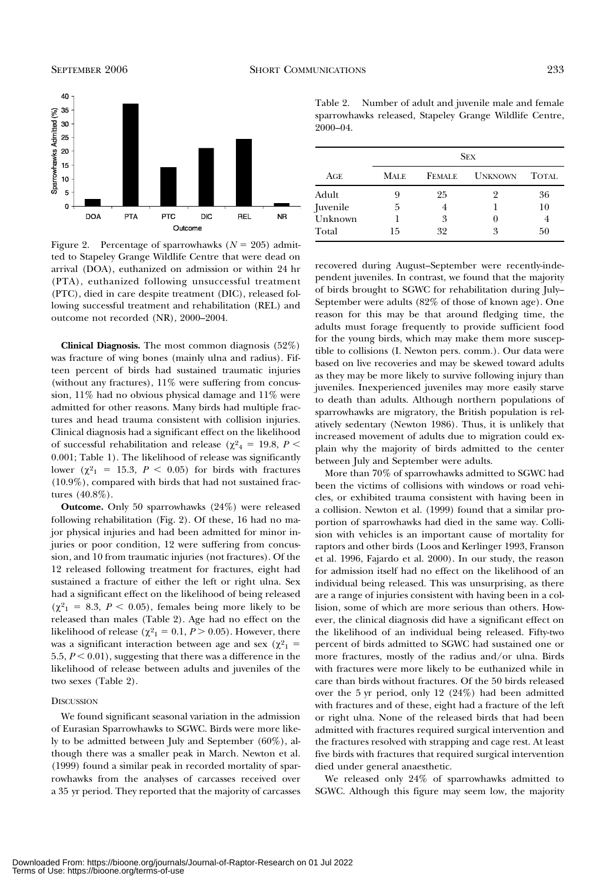

Figure 2. Percentage of sparrowhawks  $(N = 205)$  admitted to Stapeley Grange Wildlife Centre that were dead on arrival (DOA), euthanized on admission or within 24 hr (PTA), euthanized following unsuccessful treatment (PTC), died in care despite treatment (DIC), released following successful treatment and rehabilitation (REL) and outcome not recorded (NR), 2000–2004.

Clinical Diagnosis. The most common diagnosis (52%) was fracture of wing bones (mainly ulna and radius). Fifteen percent of birds had sustained traumatic injuries (without any fractures),  $11\%$  were suffering from concussion, 11% had no obvious physical damage and 11% were admitted for other reasons. Many birds had multiple fractures and head trauma consistent with collision injuries. Clinical diagnosis had a significant effect on the likelihood of successful rehabilitation and release ( $\chi^2$ <sub>4</sub> = 19.8, *P* < 0.001; Table 1). The likelihood of release was significantly lower ( $\chi^2$ <sub>1</sub> = 15.3, *P* < 0.05) for birds with fractures (10.9%), compared with birds that had not sustained fractures (40.8%).

Outcome. Only 50 sparrowhawks (24%) were released following rehabilitation (Fig. 2). Of these, 16 had no major physical injuries and had been admitted for minor injuries or poor condition, 12 were suffering from concussion, and 10 from traumatic injuries (not fractures). Of the 12 released following treatment for fractures, eight had sustained a fracture of either the left or right ulna. Sex had a significant effect on the likelihood of being released  $(\chi^2)$  = 8.3,  $P < 0.05$ ), females being more likely to be released than males (Table 2). Age had no effect on the likelihood of release ( $\chi^2$ <sub>1</sub> = 0.1, *P* > 0.05). However, there was a significant interaction between age and sex ( $\chi^2$ <sub>1</sub> = 5.5,  $P < 0.01$ ), suggesting that there was a difference in the likelihood of release between adults and juveniles of the two sexes (Table 2).

### **DISCUSSION**

We found significant seasonal variation in the admission of Eurasian Sparrowhawks to SGWC. Birds were more likely to be admitted between July and September (60%), although there was a smaller peak in March. Newton et al. (1999) found a similar peak in recorded mortality of sparrowhawks from the analyses of carcasses received over a 35 yr period. They reported that the majority of carcasses

Table 2. Number of adult and juvenile male and female sparrowhawks released, Stapeley Grange Wildlife Centre, 2000–04.

|                   | <b>SEX</b>  |               |                |              |
|-------------------|-------------|---------------|----------------|--------------|
| AGE               | <b>MALE</b> | <b>FEMALE</b> | <b>UNKNOWN</b> | <b>TOTAL</b> |
| Adult             | 9           | 25            | 9              | 36           |
| <i>s Juvenile</i> | 5           |               |                | 10           |
| Unknown           |             | 3             | $\theta$       | 4            |
| Total             | 15          | 32            | 3              | 50           |

recovered during August–September were recently-independent juveniles. In contrast, we found that the majority of birds brought to SGWC for rehabilitation during July– September were adults (82% of those of known age). One reason for this may be that around fledging time, the adults must forage frequently to provide sufficient food for the young birds, which may make them more susceptible to collisions (I. Newton pers. comm.). Our data were based on live recoveries and may be skewed toward adults as they may be more likely to survive following injury than juveniles. Inexperienced juveniles may more easily starve to death than adults. Although northern populations of sparrowhawks are migratory, the British population is relatively sedentary (Newton 1986). Thus, it is unlikely that increased movement of adults due to migration could explain why the majority of birds admitted to the center between July and September were adults.

More than 70% of sparrowhawks admitted to SGWC had been the victims of collisions with windows or road vehicles, or exhibited trauma consistent with having been in a collision. Newton et al. (1999) found that a similar proportion of sparrowhawks had died in the same way. Collision with vehicles is an important cause of mortality for raptors and other birds (Loos and Kerlinger 1993, Franson et al. 1996, Fajardo et al. 2000). In our study, the reason for admission itself had no effect on the likelihood of an individual being released. This was unsurprising, as there are a range of injuries consistent with having been in a collision, some of which are more serious than others. However, the clinical diagnosis did have a significant effect on the likelihood of an individual being released. Fifty-two percent of birds admitted to SGWC had sustained one or more fractures, mostly of the radius and/or ulna. Birds with fractures were more likely to be euthanized while in care than birds without fractures. Of the 50 birds released over the 5 yr period, only 12 (24%) had been admitted with fractures and of these, eight had a fracture of the left or right ulna. None of the released birds that had been admitted with fractures required surgical intervention and the fractures resolved with strapping and cage rest. At least five birds with fractures that required surgical intervention died under general anaesthetic.

We released only 24% of sparrowhawks admitted to SGWC. Although this figure may seem low, the majority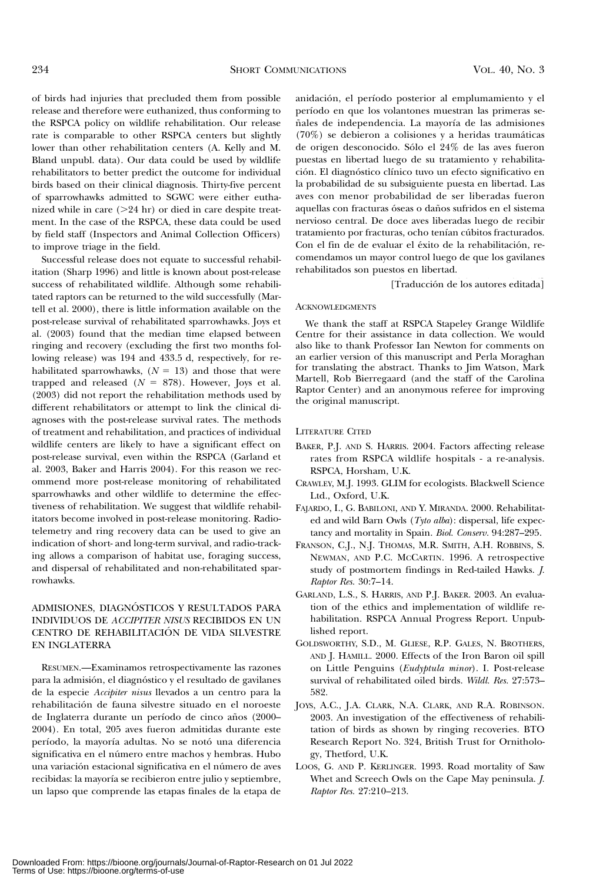of birds had injuries that precluded them from possible release and therefore were euthanized, thus conforming to the RSPCA policy on wildlife rehabilitation. Our release rate is comparable to other RSPCA centers but slightly lower than other rehabilitation centers (A. Kelly and M. Bland unpubl. data). Our data could be used by wildlife rehabilitators to better predict the outcome for individual birds based on their clinical diagnosis. Thirty-five percent of sparrowhawks admitted to SGWC were either euthanized while in care  $(>= 24$  hr) or died in care despite treatment. In the case of the RSPCA, these data could be used by field staff (Inspectors and Animal Collection Officers) to improve triage in the field.

Successful release does not equate to successful rehabilitation (Sharp 1996) and little is known about post-release success of rehabilitated wildlife. Although some rehabilitated raptors can be returned to the wild successfully (Martell et al. 2000), there is little information available on the post-release survival of rehabilitated sparrowhawks. Joys et al. (2003) found that the median time elapsed between ringing and recovery (excluding the first two months following release) was 194 and 433.5 d, respectively, for rehabilitated sparrowhawks,  $(N = 13)$  and those that were trapped and released  $(N = 878)$ . However, Joys et al. (2003) did not report the rehabilitation methods used by different rehabilitators or attempt to link the clinical diagnoses with the post-release survival rates. The methods of treatment and rehabilitation, and practices of individual wildlife centers are likely to have a significant effect on post-release survival, even within the RSPCA (Garland et al. 2003, Baker and Harris 2004). For this reason we recommend more post-release monitoring of rehabilitated sparrowhawks and other wildlife to determine the effectiveness of rehabilitation. We suggest that wildlife rehabilitators become involved in post-release monitoring. Radiotelemetry and ring recovery data can be used to give an indication of short- and long-term survival, and radio-tracking allows a comparison of habitat use, foraging success, and dispersal of rehabilitated and non-rehabilitated sparrowhawks.

## ADMISIONES, DIAGNÓSTICOS Y RESULTADOS PARA INDIVIDUOS DE ACCIPITER NISUS RECIBIDOS EN UN CENTRO DE REHABILITACIÓN DE VIDA SILVESTRE EN INGLATERRA

RESUMEN.—Examinamos retrospectivamente las razones para la admisión, el diagnóstico y el resultado de gavilanes de la especie Accipiter nisus llevados a un centro para la rehabilitacio´n de fauna silvestre situado en el noroeste de Inglaterra durante un período de cinco años (2000– 2004). En total, 205 aves fueron admitidas durante este período, la mayoría adultas. No se notó una diferencia significativa en el número entre machos y hembras. Hubo una variación estacional significativa en el número de aves recibidas: la mayoría se recibieron entre julio y septiembre, un lapso que comprende las etapas finales de la etapa de

anidación, el período posterior al emplumamiento y el período en que los volantones muestran las primeras señales de independencia. La mayoría de las admisiones  $(70\%)$  se debieron a colisiones y a heridas traumáticas de origen desconocido. Sólo el 24% de las aves fueron puestas en libertad luego de su tratamiento y rehabilitación. El diagnóstico clínico tuvo un efecto significativo en la probabilidad de su subsiguiente puesta en libertad. Las aves con menor probabilidad de ser liberadas fueron aquellas con fracturas óseas o daños sufridos en el sistema nervioso central. De doce aves liberadas luego de recibir tratamiento por fracturas, ocho tenían cúbitos fracturados. Con el fin de de evaluar el éxito de la rehabilitación, recomendamos un mayor control luego de que los gavilanes rehabilitados son puestos en libertad.

[Traducción de los autores editada]

#### ACKNOWLEDGMENTS

We thank the staff at RSPCA Stapeley Grange Wildlife Centre for their assistance in data collection. We would also like to thank Professor Ian Newton for comments on an earlier version of this manuscript and Perla Moraghan for translating the abstract. Thanks to Jim Watson, Mark Martell, Rob Bierregaard (and the staff of the Carolina Raptor Center) and an anonymous referee for improving the original manuscript.

#### LITERATURE CITED

- BAKER, P.J. AND S. HARRIS. 2004. Factors affecting release rates from RSPCA wildlife hospitals - a re-analysis. RSPCA, Horsham, U.K.
- CRAWLEY, M.J. 1993. GLIM for ecologists. Blackwell Science Ltd., Oxford, U.K.
- FAJARDO, I., G. BABILONI, AND Y. MIRANDA. 2000. Rehabilitated and wild Barn Owls (Tyto alba): dispersal, life expectancy and mortality in Spain. Biol. Conserv. 94:287–295.
- FRANSON, C.J., N.J. THOMAS, M.R. SMITH, A.H. ROBBINS, S. NEWMAN, AND P.C. MCCARTIN. 1996. A retrospective study of postmortem findings in Red-tailed Hawks. J. Raptor Res. 30:7–14.
- GARLAND, L.S., S. HARRIS, AND P.J. BAKER. 2003. An evaluation of the ethics and implementation of wildlife rehabilitation. RSPCA Annual Progress Report. Unpublished report.
- GOLDSWORTHY, S.D., M. GLIESE, R.P. GALES, N. BROTHERS, AND J. HAMILL. 2000. Effects of the Iron Baron oil spill on Little Penguins (Eudyptula minor). I. Post-release survival of rehabilitated oiled birds. Wildl. Res. 27:573– 582.
- JOYS, A.C., J.A. CLARK, N.A. CLARK, AND R.A. ROBINSON. 2003. An investigation of the effectiveness of rehabilitation of birds as shown by ringing recoveries. BTO Research Report No. 324, British Trust for Ornithology, Thetford, U.K.
- LOOS, G. AND P. KERLINGER. 1993. Road mortality of Saw Whet and Screech Owls on the Cape May peninsula. J. Raptor Res. 27:210–213.